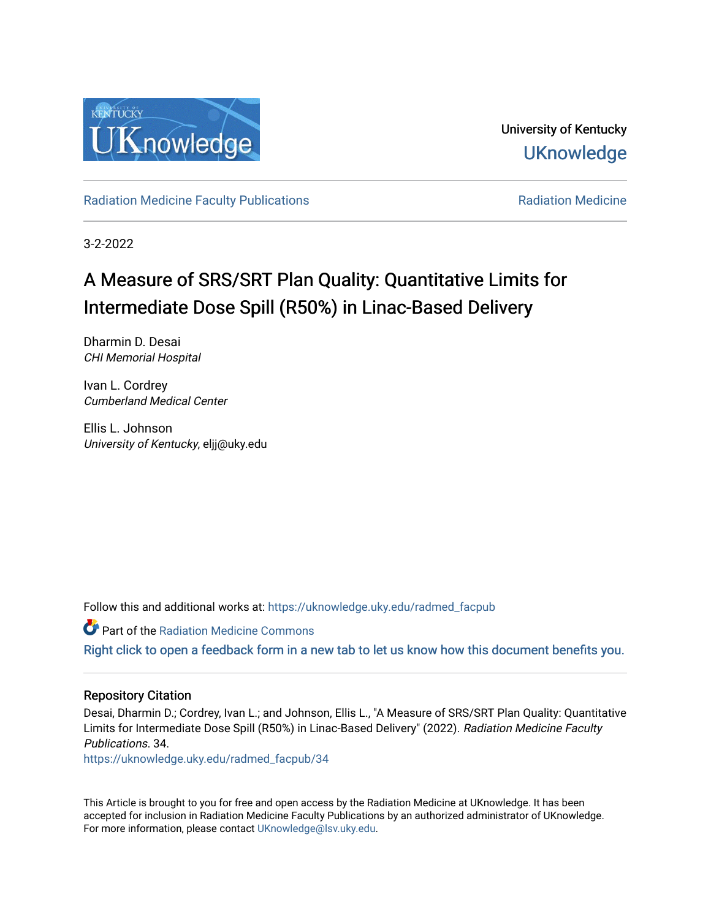

University of Kentucky **UKnowledge** 

[Radiation Medicine Faculty Publications](https://uknowledge.uky.edu/radmed_facpub) **Radiation Medicine** Radiation Medicine

3-2-2022

# A Measure of SRS/SRT Plan Quality: Quantitative Limits for Intermediate Dose Spill (R50%) in Linac-Based Delivery

Dharmin D. Desai CHI Memorial Hospital

Ivan L. Cordrey Cumberland Medical Center

Ellis L. Johnson University of Kentucky, eljj@uky.edu

Follow this and additional works at: [https://uknowledge.uky.edu/radmed\\_facpub](https://uknowledge.uky.edu/radmed_facpub?utm_source=uknowledge.uky.edu%2Fradmed_facpub%2F34&utm_medium=PDF&utm_campaign=PDFCoverPages) 

**Part of the Radiation Medicine Commons** 

[Right click to open a feedback form in a new tab to let us know how this document benefits you.](https://uky.az1.qualtrics.com/jfe/form/SV_9mq8fx2GnONRfz7)

#### Repository Citation

Desai, Dharmin D.; Cordrey, Ivan L.; and Johnson, Ellis L., "A Measure of SRS/SRT Plan Quality: Quantitative Limits for Intermediate Dose Spill (R50%) in Linac-Based Delivery" (2022). Radiation Medicine Faculty Publications. 34.

[https://uknowledge.uky.edu/radmed\\_facpub/34](https://uknowledge.uky.edu/radmed_facpub/34?utm_source=uknowledge.uky.edu%2Fradmed_facpub%2F34&utm_medium=PDF&utm_campaign=PDFCoverPages)

This Article is brought to you for free and open access by the Radiation Medicine at UKnowledge. It has been accepted for inclusion in Radiation Medicine Faculty Publications by an authorized administrator of UKnowledge. For more information, please contact [UKnowledge@lsv.uky.edu.](mailto:UKnowledge@lsv.uky.edu)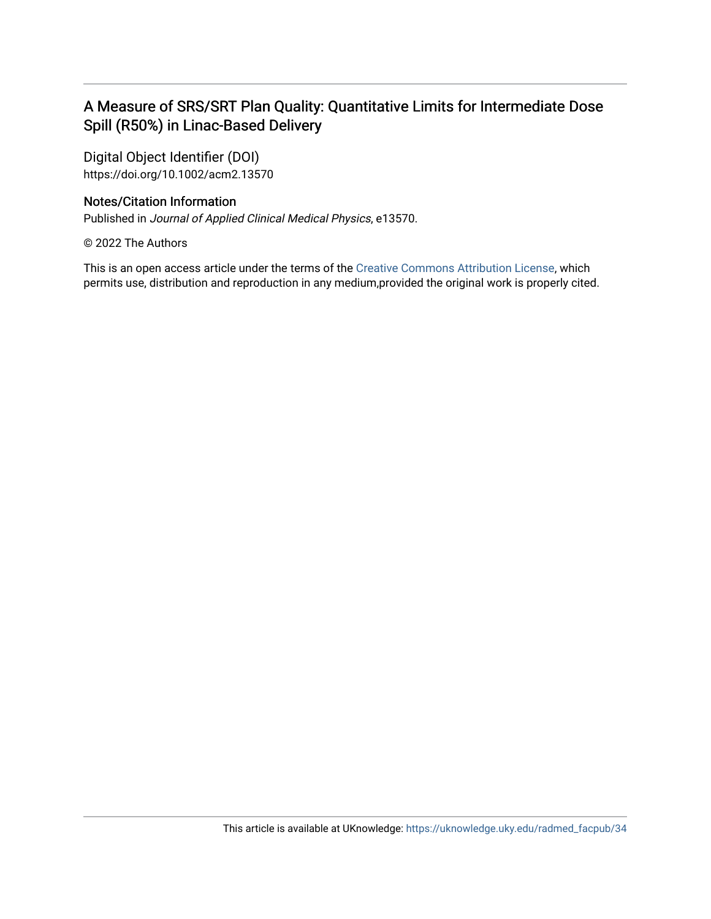### A Measure of SRS/SRT Plan Quality: Quantitative Limits for Intermediate Dose Spill (R50%) in Linac-Based Delivery

Digital Object Identifier (DOI) https://doi.org/10.1002/acm2.13570

### Notes/Citation Information

Published in Journal of Applied Clinical Medical Physics, e13570.

© 2022 The Authors

This is an open access article under the terms of the [Creative Commons Attribution License,](https://creativecommons.org/licenses/by/4.0/) which permits use, distribution and reproduction in any medium,provided the original work is properly cited.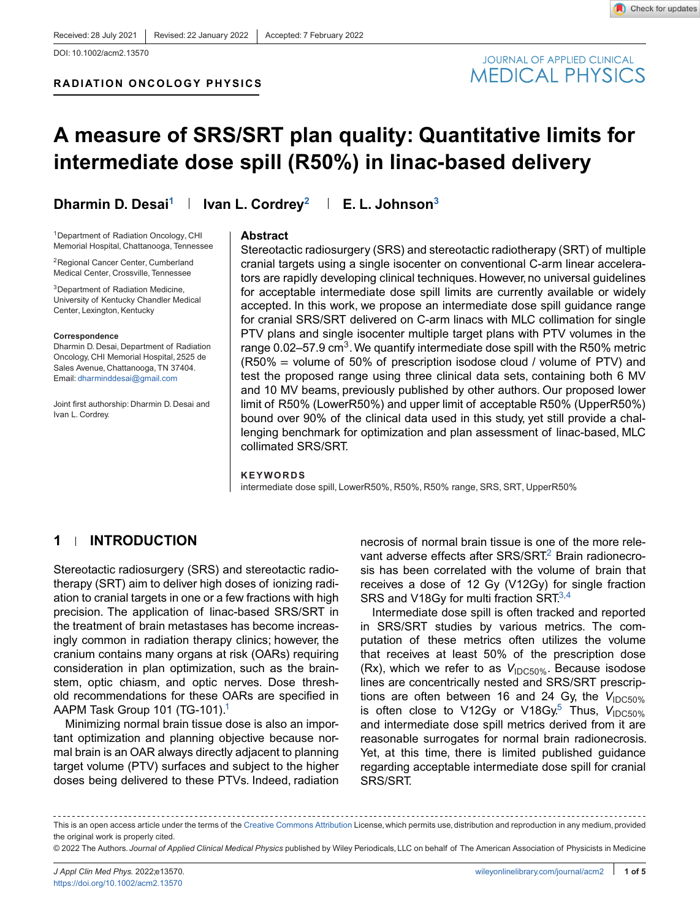Check for updates

**RADIATION ONCOLOGY PHYSICS**



## **A measure of SRS/SRT plan quality: Quantitative limits for intermediate dose spill (R50%) in linac-based delivery**

1Department of Radiation Oncology, CHI Memorial Hospital, Chattanooga, Tennessee

2Regional Cancer Center, Cumberland Medical Center, Crossville, Tennessee

<sup>3</sup>Department of Radiation Medicine. University of Kentucky Chandler Medical Center, Lexington, Kentucky

#### **Correspondence**

Dharmin D. Desai, Department of Radiation Oncology, CHI Memorial Hospital, 2525 de Sales Avenue, Chattanooga, TN 37404. Email: dharminddesai@gmail.com

Joint first authorship: Dharmin D. Desai and Ivan L. Cordrey.

**Dharmin D. Desai<sup>1</sup> | Ivan L. Cordrey<sup>2</sup> | E. L. Johnson<sup>3</sup>** 

#### **Abstract**

Stereotactic radiosurgery (SRS) and stereotactic radiotherapy (SRT) of multiple cranial targets using a single isocenter on conventional C-arm linear accelerators are rapidly developing clinical techniques. However, no universal guidelines for acceptable intermediate dose spill limits are currently available or widely accepted. In this work, we propose an intermediate dose spill guidance range for cranial SRS/SRT delivered on C-arm linacs with MLC collimation for single PTV plans and single isocenter multiple target plans with PTV volumes in the range 0.02–57.9 cm<sup>3</sup>. We quantify intermediate dose spill with the R50% metric (R50% = volume of 50% of prescription isodose cloud / volume of PTV) and test the proposed range using three clinical data sets, containing both 6 MV and 10 MV beams, previously published by other authors. Our proposed lower limit of R50% (LowerR50%) and upper limit of acceptable R50% (UpperR50%) bound over 90% of the clinical data used in this study, yet still provide a challenging benchmark for optimization and plan assessment of linac-based, MLC collimated SRS/SRT.

#### **KEYWORDS**

intermediate dose spill, LowerR50%, R50%, R50% range, SRS, SRT, UpperR50%

### **1 INTRODUCTION**

Stereotactic radiosurgery (SRS) and stereotactic radiotherapy (SRT) aim to deliver high doses of ionizing radiation to cranial targets in one or a few fractions with high precision. The application of linac-based SRS/SRT in the treatment of brain metastases has become increasingly common in radiation therapy clinics; however, the cranium contains many organs at risk (OARs) requiring consideration in plan optimization, such as the brainstem, optic chiasm, and optic nerves. Dose threshold recommendations for these OARs are specified in AAPM Task Group 101 (TG-101).<sup>1</sup>

Minimizing normal brain tissue dose is also an important optimization and planning objective because normal brain is an OAR always directly adjacent to planning target volume (PTV) surfaces and subject to the higher doses being delivered to these PTVs. Indeed, radiation

necrosis of normal brain tissue is one of the more relevant adverse effects after SRS/SRT.<sup>2</sup> Brain radionecrosis has been correlated with the volume of brain that receives a dose of 12 Gy (V12Gy) for single fraction SRS and V18Gy for multi fraction SRT $^{3,4}$ 

Intermediate dose spill is often tracked and reported in SRS/SRT studies by various metrics. The computation of these metrics often utilizes the volume that receives at least 50% of the prescription dose (Rx), which we refer to as  $V_{\text{IDC50\%}}$ . Because isodose lines are concentrically nested and SRS/SRT prescriptions are often between 16 and 24 Gy, the V<sub>IDC50%</sub> is often close to V12Gy or V18Gy.<sup>5</sup> Thus, V<sub>IDC50%</sub> and intermediate dose spill metrics derived from it are reasonable surrogates for normal brain radionecrosis. Yet, at this time, there is limited published guidance regarding acceptable intermediate dose spill for cranial SRS/SRT.

This is an open access article under the terms of the Creative Commons Attribution License, which permits use, distribution and reproduction in any medium, provided the original work is properly cited.

<sup>© 2022</sup> The Authors. *Journal of Applied Clinical Medical Physics* published by Wiley Periodicals, LLC on behalf of The American Association of Physicists in Medicine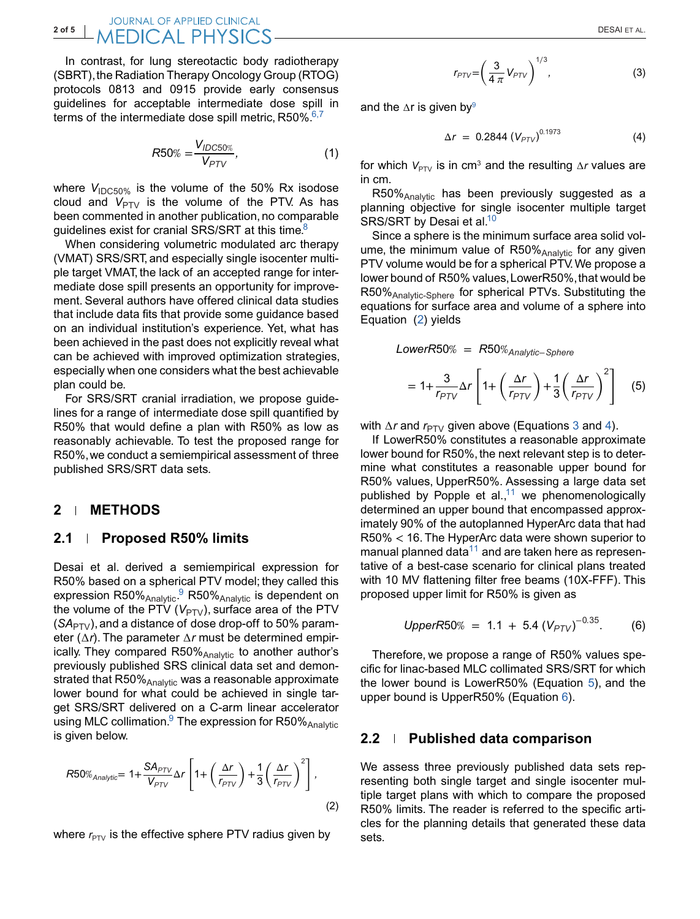In contrast, for lung stereotactic body radiotherapy (SBRT), the Radiation Therapy Oncology Group (RTOG) protocols 0813 and 0915 provide early consensus guidelines for acceptable intermediate dose spill in terms of the intermediate dose spill metric,  $R50\%$ .<sup>6,7</sup>

$$
R50\% = \frac{V_{IDC50\%}}{V_{PTV}},\tag{1}
$$

where  $V_{\text{IDC}50\%}$  is the volume of the 50% Rx isodose cloud and  $V_{PTV}$  is the volume of the PTV. As has been commented in another publication, no comparable quidelines exist for cranial SRS/SRT at this time.<sup>8</sup>

When considering volumetric modulated arc therapy (VMAT) SRS/SRT, and especially single isocenter multiple target VMAT, the lack of an accepted range for intermediate dose spill presents an opportunity for improvement. Several authors have offered clinical data studies that include data fits that provide some guidance based on an individual institution's experience. Yet, what has been achieved in the past does not explicitly reveal what can be achieved with improved optimization strategies, especially when one considers what the best achievable plan could be.

For SRS/SRT cranial irradiation, we propose guidelines for a range of intermediate dose spill quantified by R50% that would define a plan with R50% as low as reasonably achievable. To test the proposed range for R50%,we conduct a semiempirical assessment of three published SRS/SRT data sets.

#### **2 METHODS**

#### **2.1 Proposed R50% limits**

Desai et al. derived a semiempirical expression for R50% based on a spherical PTV model; they called this expression R50%<sub>Analytic</sub>.<sup>9</sup> R50%<sub>Analytic</sub> is dependent on the volume of the PTV  $(V_{PTV})$ , surface area of the PTV  $(SA<sub>PTV</sub>)$ , and a distance of dose drop-off to 50% parameter (∆*r*). The parameter ∆*r* must be determined empirically. They compared R50% Analytic to another author's previously published SRS clinical data set and demonstrated that  $R50\%$ <sub>Analytic</sub> was a reasonable approximate lower bound for what could be achieved in single target SRS/SRT delivered on a C-arm linear accelerator using MLC collimation.<sup>9</sup> The expression for R50% Analytic is given below.

$$
R50\%_{Analytic} = 1 + \frac{SA_{PTV}}{V_{PTV}} \Delta r \left[ 1 + \left(\frac{\Delta r}{r_{PTV}}\right) + \frac{1}{3} \left(\frac{\Delta r}{r_{PTV}}\right)^2 \right],
$$
\n(2)

where  $r_{PTV}$  is the effective sphere PTV radius given by

$$
r_{PTV} = \left(\frac{3}{4\pi}V_{PTV}\right)^{1/3},\tag{3}
$$

and the ∆r is given by<sup>9</sup>

$$
\Delta r = 0.2844 \left( V_{PTV} \right)^{0.1973} \tag{4}
$$

for which  $V_{PTV}$  is in cm<sup>3</sup> and the resulting  $\Delta r$  values are in cm.

R50% Analytic has been previously suggested as a planning objective for single isocenter multiple target SRS/SRT by Desai et al.<sup>10</sup>

Since a sphere is the minimum surface area solid volume, the minimum value of  $R50\%_{Analytic}$  for any given PTV volume would be for a spherical PTV.We propose a lower bound of R50% values, LowerR50%, that would be R50%Analytic-Sphere for spherical PTVs. Substituting the equations for surface area and volume of a sphere into Equation (2) yields

LowerR50% = R50%<sub>Analytic-Sphere</sub>  
= 
$$
1 + \frac{3}{r_{PTV}} \Delta r \left[ 1 + \left( \frac{\Delta r}{r_{PTV}} \right) + \frac{1}{3} \left( \frac{\Delta r}{r_{PTV}} \right)^2 \right]
$$
 (5)

with ∆*r* and *r*<sub>PTV</sub> given above (Equations 3 and 4).

If LowerR50% constitutes a reasonable approximate lower bound for R50%, the next relevant step is to determine what constitutes a reasonable upper bound for R50% values, UpperR50%. Assessing a large data set published by Popple et al.,<sup>11</sup> we phenomenologically determined an upper bound that encompassed approximately 90% of the autoplanned HyperArc data that had R50% < 16. The HyperArc data were shown superior to manual planned data $11$  and are taken here as representative of a best-case scenario for clinical plans treated with 10 MV flattening filter free beams (10X-FFF). This proposed upper limit for R50% is given as

$$
UpperR50\% = 1.1 + 5.4 (V_{PTV})^{-0.35}.
$$
 (6)

Therefore, we propose a range of R50% values specific for linac-based MLC collimated SRS/SRT for which the lower bound is LowerR50% (Equation 5), and the upper bound is UpperR50% (Equation 6).

#### **2.2 Published data comparison**

We assess three previously published data sets representing both single target and single isocenter multiple target plans with which to compare the proposed R50% limits. The reader is referred to the specific articles for the planning details that generated these data sets.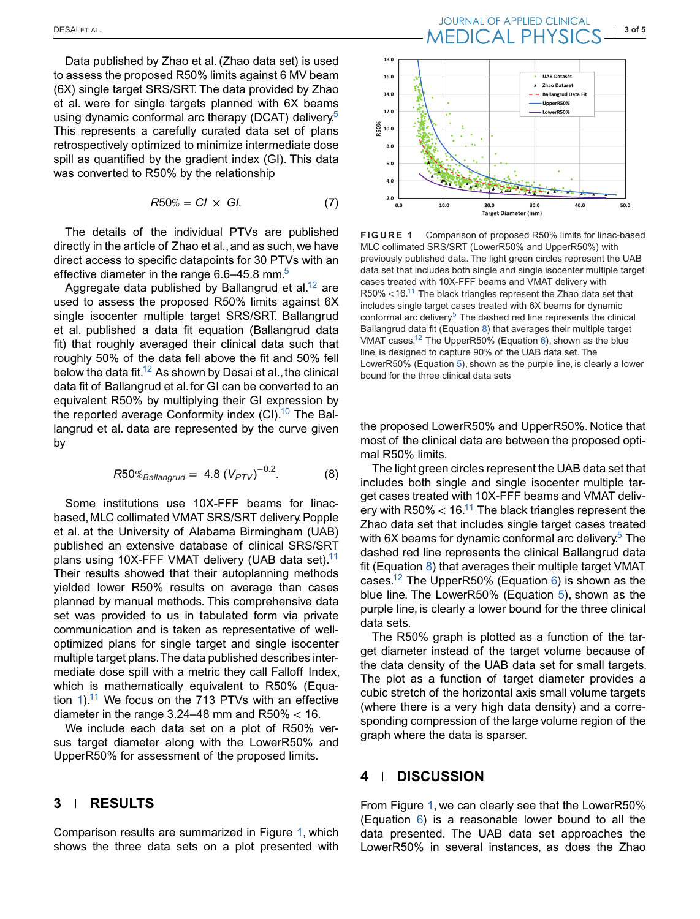Data published by Zhao et al. (Zhao data set) is used to assess the proposed R50% limits against 6 MV beam (6X) single target SRS/SRT. The data provided by Zhao et al. were for single targets planned with 6X beams using dynamic conformal arc therapy (DCAT) delivery<sup>5</sup> This represents a carefully curated data set of plans retrospectively optimized to minimize intermediate dose spill as quantified by the gradient index (GI). This data was converted to R50% by the relationship

$$
R50\% = CI \times GI. \tag{7}
$$

The details of the individual PTVs are published directly in the article of Zhao et al., and as such, we have direct access to specific datapoints for 30 PTVs with an effective diameter in the range  $6.6-45.8$  mm.<sup>5</sup>

Aggregate data published by Ballangrud et al.<sup>12</sup> are used to assess the proposed R50% limits against 6X single isocenter multiple target SRS/SRT. Ballangrud et al. published a data fit equation (Ballangrud data fit) that roughly averaged their clinical data such that roughly 50% of the data fell above the fit and 50% fell below the data fit.<sup>12</sup> As shown by Desai et al., the clinical data fit of Ballangrud et al.for GI can be converted to an equivalent R50% by multiplying their GI expression by the reported average Conformity index  $(Cl).<sup>10</sup>$  The Ballangrud et al. data are represented by the curve given by

$$
R50\%_{Ballangular} = 4.8 (V_{PTV})^{-0.2}.
$$
 (8)

Some institutions use 10X-FFF beams for linacbased,MLC collimated VMAT SRS/SRT delivery.Popple et al. at the University of Alabama Birmingham (UAB) published an extensive database of clinical SRS/SRT plans using 10X-FFF VMAT delivery (UAB data set).<sup>11</sup> Their results showed that their autoplanning methods yielded lower R50% results on average than cases planned by manual methods. This comprehensive data set was provided to us in tabulated form via private communication and is taken as representative of welloptimized plans for single target and single isocenter multiple target plans.The data published describes intermediate dose spill with a metric they call Falloff Index, which is mathematically equivalent to R50% (Equation  $1$ <sup>11</sup> We focus on the 713 PTVs with an effective diameter in the range  $3.24-48$  mm and R50%  $<$  16.

We include each data set on a plot of R50% versus target diameter along with the LowerR50% and UpperR50% for assessment of the proposed limits.

#### **3 RESULTS**

Comparison results are summarized in Figure 1, which shows the three data sets on a plot presented with

# DESAI ET AL.<br>DESAI ET AL. **INFERITAL DE APPLIED CLINICAL AUGUST 1905**



**FIGURE 1** Comparison of proposed R50% limits for linac-based MLC collimated SRS/SRT (LowerR50% and UpperR50%) with previously published data. The light green circles represent the UAB data set that includes both single and single isocenter multiple target cases treated with 10X-FFF beams and VMAT delivery with R50% <16.<sup>11</sup> The black triangles represent the Zhao data set that includes single target cases treated with 6X beams for dynamic conformal arc delivery.<sup>5</sup> The dashed red line represents the clinical Ballangrud data fit (Equation 8) that averages their multiple target VMAT cases.12 The UpperR50% (Equation 6), shown as the blue line, is designed to capture 90% of the UAB data set. The LowerR50% (Equation 5), shown as the purple line, is clearly a lower bound for the three clinical data sets

the proposed LowerR50% and UpperR50%. Notice that most of the clinical data are between the proposed optimal R50% limits.

The light green circles represent the UAB data set that includes both single and single isocenter multiple target cases treated with 10X-FFF beams and VMAT delivery with R50%  $<$  16.<sup>11</sup> The black triangles represent the Zhao data set that includes single target cases treated with  $6X$  beams for dynamic conformal arc delivery.<sup>5</sup> The dashed red line represents the clinical Ballangrud data fit (Equation 8) that averages their multiple target VMAT cases.<sup>12</sup> The UpperR50% (Equation 6) is shown as the blue line. The LowerR50% (Equation 5), shown as the purple line, is clearly a lower bound for the three clinical data sets.

The R50% graph is plotted as a function of the target diameter instead of the target volume because of the data density of the UAB data set for small targets. The plot as a function of target diameter provides a cubic stretch of the horizontal axis small volume targets (where there is a very high data density) and a corresponding compression of the large volume region of the graph where the data is sparser.

#### **4 DISCUSSION**

From Figure 1, we can clearly see that the LowerR50% (Equation 6) is a reasonable lower bound to all the data presented. The UAB data set approaches the LowerR50% in several instances, as does the Zhao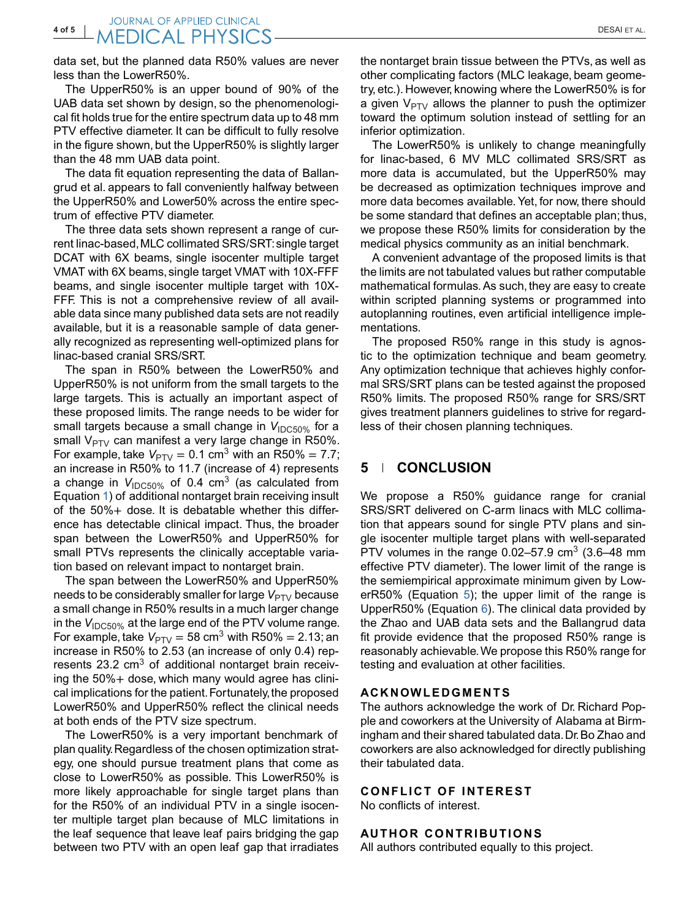data set, but the planned data R50% values are never less than the LowerR50%.

The UpperR50% is an upper bound of 90% of the UAB data set shown by design, so the phenomenological fit holds true for the entire spectrum data up to 48 mm PTV effective diameter. It can be difficult to fully resolve in the figure shown, but the UpperR50% is slightly larger than the 48 mm UAB data point.

The data fit equation representing the data of Ballangrud et al. appears to fall conveniently halfway between the UpperR50% and Lower50% across the entire spectrum of effective PTV diameter.

The three data sets shown represent a range of current linac-based,MLC collimated SRS/SRT: single target DCAT with 6X beams, single isocenter multiple target VMAT with 6X beams, single target VMAT with 10X-FFF beams, and single isocenter multiple target with 10X-FFF. This is not a comprehensive review of all available data since many published data sets are not readily available, but it is a reasonable sample of data generally recognized as representing well-optimized plans for linac-based cranial SRS/SRT.

The span in R50% between the LowerR50% and UpperR50% is not uniform from the small targets to the large targets. This is actually an important aspect of these proposed limits. The range needs to be wider for small targets because a small change in *V*<sub>IDC50%</sub> for a small  $V_{PTV}$  can manifest a very large change in R50%. For example, take  $V_{\text{PTV}} = 0.1 \text{ cm}^3$  with an R50% = 7.7; an increase in R50% to 11.7 (increase of 4) represents a change in  $V_{\text{IDC50\%}}$  of 0.4 cm<sup>3</sup> (as calculated from Equation 1) of additional nontarget brain receiving insult of the 50%+ dose. It is debatable whether this difference has detectable clinical impact. Thus, the broader span between the LowerR50% and UpperR50% for small PTVs represents the clinically acceptable variation based on relevant impact to nontarget brain.

The span between the LowerR50% and UpperR50% needs to be considerably smaller for large  $V_{\text{PTV}}$  because a small change in R50% results in a much larger change in the V<sub>IDC50%</sub> at the large end of the PTV volume range. For example, take  $V_{\text{PTV}} = 58 \text{ cm}^3$  with R50% = 2.13; an increase in R50% to 2.53 (an increase of only 0.4) represents 23.2  $\text{cm}^3$  of additional nontarget brain receiving the 50%+ dose, which many would agree has clinical implications for the patient. Fortunately, the proposed LowerR50% and UpperR50% reflect the clinical needs at both ends of the PTV size spectrum.

The LowerR50% is a very important benchmark of plan quality.Regardless of the chosen optimization strategy, one should pursue treatment plans that come as close to LowerR50% as possible. This LowerR50% is more likely approachable for single target plans than for the R50% of an individual PTV in a single isocenter multiple target plan because of MLC limitations in the leaf sequence that leave leaf pairs bridging the gap between two PTV with an open leaf gap that irradiates

the nontarget brain tissue between the PTVs, as well as other complicating factors (MLC leakage, beam geometry, etc.). However, knowing where the LowerR50% is for a given  $V_{PTV}$  allows the planner to push the optimizer toward the optimum solution instead of settling for an inferior optimization.

The LowerR50% is unlikely to change meaningfully for linac-based, 6 MV MLC collimated SRS/SRT as more data is accumulated, but the UpperR50% may be decreased as optimization techniques improve and more data becomes available. Yet, for now, there should be some standard that defines an acceptable plan; thus, we propose these R50% limits for consideration by the medical physics community as an initial benchmark.

A convenient advantage of the proposed limits is that the limits are not tabulated values but rather computable mathematical formulas. As such, they are easy to create within scripted planning systems or programmed into autoplanning routines, even artificial intelligence implementations.

The proposed R50% range in this study is agnostic to the optimization technique and beam geometry. Any optimization technique that achieves highly conformal SRS/SRT plans can be tested against the proposed R50% limits. The proposed R50% range for SRS/SRT gives treatment planners guidelines to strive for regardless of their chosen planning techniques.

#### **5 CONCLUSION**

We propose a R50% guidance range for cranial SRS/SRT delivered on C-arm linacs with MLC collimation that appears sound for single PTV plans and single isocenter multiple target plans with well-separated PTV volumes in the range  $0.02-57.9$  cm<sup>3</sup> (3.6–48 mm effective PTV diameter). The lower limit of the range is the semiempirical approximate minimum given by LowerR50% (Equation 5); the upper limit of the range is UpperR50% (Equation 6). The clinical data provided by the Zhao and UAB data sets and the Ballangrud data fit provide evidence that the proposed R50% range is reasonably achievable.We propose this R50% range for testing and evaluation at other facilities.

#### **ACKNOWLEDGMENTS**

The authors acknowledge the work of Dr. Richard Popple and coworkers at the University of Alabama at Birmingham and their shared tabulated data.Dr.Bo Zhao and coworkers are also acknowledged for directly publishing their tabulated data.

#### **CONFLICT OF INTEREST**

No conflicts of interest.

#### **AUTHOR CONTRIBUTIONS**

All authors contributed equally to this project.